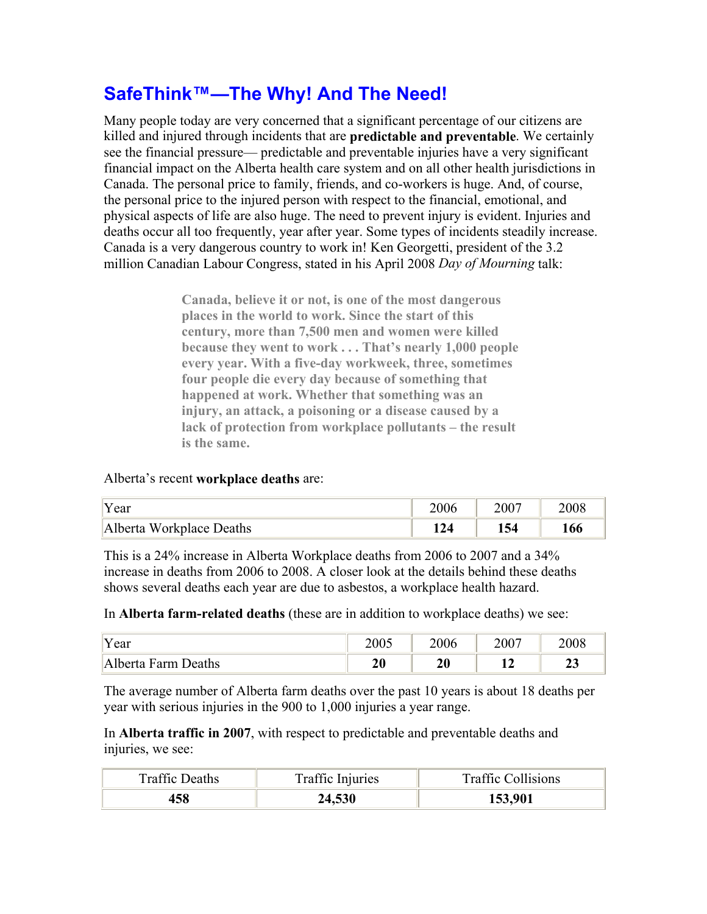## **SafeThink™—The Why! And The Need!**

Many people today are very concerned that a significant percentage of our citizens are killed and injured through incidents that are **predictable and preventable**. We certainly see the financial pressure— predictable and preventable injuries have a very significant financial impact on the Alberta health care system and on all other health jurisdictions in Canada. The personal price to family, friends, and co-workers is huge. And, of course, the personal price to the injured person with respect to the financial, emotional, and physical aspects of life are also huge. The need to prevent injury is evident. Injuries and deaths occur all too frequently, year after year. Some types of incidents steadily increase. Canada is a very dangerous country to work in! Ken Georgetti, president of the 3.2 million Canadian Labour Congress, stated in his April 2008 *Day of Mourning* talk:

> **Canada, believe it or not, is one of the most dangerous places in the world to work. Since the start of this century, more than 7,500 men and women were killed because they went to work . . . That's nearly 1,000 people every year. With a five-day workweek, three, sometimes four people die every day because of something that happened at work. Whether that something was an injury, an attack, a poisoning or a disease caused by a lack of protection from workplace pollutants – the result is the same.**

## Alberta's recent **workplace deaths** are:

| 'Year                    | 2006 | 2007 | 2008 |
|--------------------------|------|------|------|
| Alberta Workplace Deaths | 124  | 154  | 166  |

This is a 24% increase in Alberta Workplace deaths from 2006 to 2007 and a 34% increase in deaths from 2006 to 2008. A closer look at the details behind these deaths shows several deaths each year are due to asbestos, a workplace health hazard.

In **Alberta farm-related deaths** (these are in addition to workplace deaths) we see:

| "Year                     | 2005     | 2006     | 2007                | 2008         |
|---------------------------|----------|----------|---------------------|--------------|
| )eaths<br>Alberta<br>Farm | 20<br>4V | 20<br>∠υ | 14<br>┸ <del></del> | $\sim$<br>∠J |

The average number of Alberta farm deaths over the past 10 years is about 18 deaths per year with serious injuries in the 900 to 1,000 injuries a year range.

In **Alberta traffic in 2007**, with respect to predictable and preventable deaths and injuries, we see:

| <b>Traffic Deaths</b> | Traffic Injuries | <b>Traffic Collisions</b> |  |  |
|-----------------------|------------------|---------------------------|--|--|
| 158                   | 24,530           | 153,901                   |  |  |